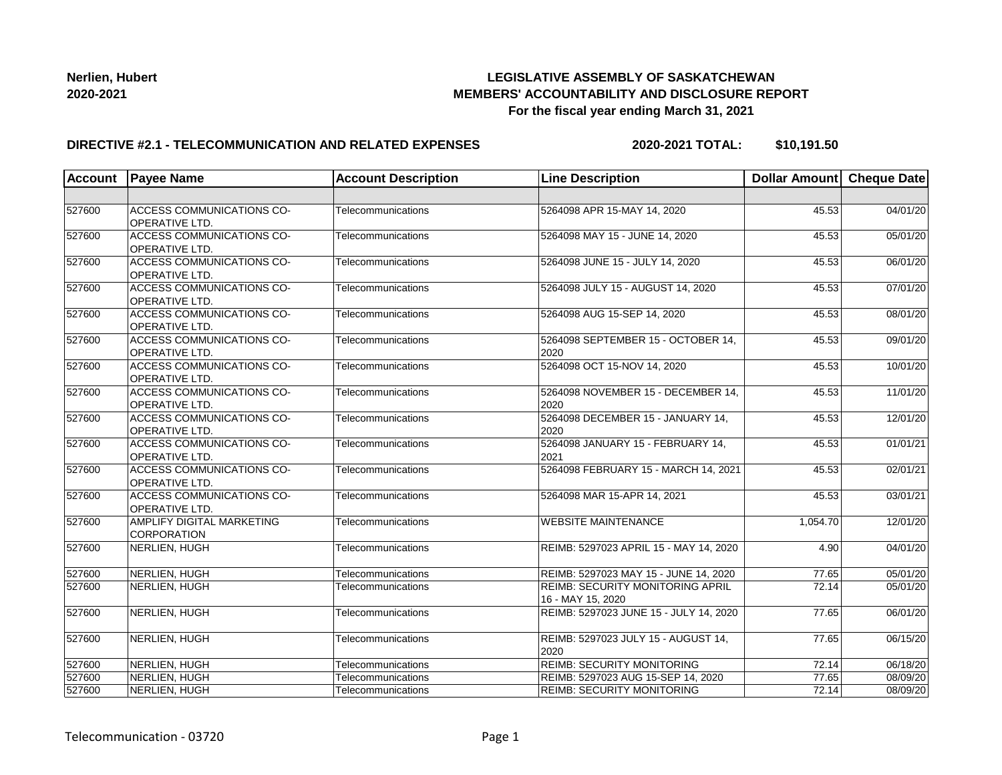## **LEGISLATIVE ASSEMBLY OF SASKATCHEWAN MEMBERS' ACCOUNTABILITY AND DISCLOSURE REPORT For the fiscal year ending March 31, 2021**

### **DIRECTIVE #2.1 - TELECOMMUNICATION AND RELATED EXPENSES**

**2020-2021 TOTAL: \$10,191.50**

| <b>Account</b> | <b>Payee Name</b>                                         | <b>Account Description</b> | <b>Line Description</b>                               | Dollar Amount Cheque Date |          |
|----------------|-----------------------------------------------------------|----------------------------|-------------------------------------------------------|---------------------------|----------|
|                |                                                           |                            |                                                       |                           |          |
| 527600         | ACCESS COMMUNICATIONS CO-<br>OPERATIVE LTD.               | Telecommunications         | 5264098 APR 15-MAY 14, 2020                           | 45.53                     | 04/01/20 |
| 527600         | <b>ACCESS COMMUNICATIONS CO-</b><br><b>OPERATIVE LTD.</b> | Telecommunications         | 5264098 MAY 15 - JUNE 14, 2020                        | 45.53                     | 05/01/20 |
| 527600         | <b>ACCESS COMMUNICATIONS CO-</b><br><b>OPERATIVE LTD.</b> | Telecommunications         | 5264098 JUNE 15 - JULY 14, 2020                       | 45.53                     | 06/01/20 |
| 527600         | ACCESS COMMUNICATIONS CO-<br>OPERATIVE LTD.               | Telecommunications         | 5264098 JULY 15 - AUGUST 14, 2020                     | 45.53                     | 07/01/20 |
| 527600         | <b>ACCESS COMMUNICATIONS CO-</b><br><b>OPERATIVE LTD.</b> | Telecommunications         | 5264098 AUG 15-SEP 14, 2020                           | 45.53                     | 08/01/20 |
| 527600         | ACCESS COMMUNICATIONS CO-<br><b>OPERATIVE LTD.</b>        | Telecommunications         | 5264098 SEPTEMBER 15 - OCTOBER 14,<br>2020            | 45.53                     | 09/01/20 |
| 527600         | <b>ACCESS COMMUNICATIONS CO-</b><br>OPERATIVE LTD.        | Telecommunications         | 5264098 OCT 15-NOV 14, 2020                           | 45.53                     | 10/01/20 |
| 527600         | ACCESS COMMUNICATIONS CO-<br>OPERATIVE LTD.               | Telecommunications         | 5264098 NOVEMBER 15 - DECEMBER 14,<br>2020            | 45.53                     | 11/01/20 |
| 527600         | ACCESS COMMUNICATIONS CO-<br><b>OPERATIVE LTD.</b>        | Telecommunications         | 5264098 DECEMBER 15 - JANUARY 14,<br>2020             | 45.53                     | 12/01/20 |
| 527600         | <b>ACCESS COMMUNICATIONS CO-</b><br>OPERATIVE LTD.        | Telecommunications         | 5264098 JANUARY 15 - FEBRUARY 14,<br>2021             | 45.53                     | 01/01/21 |
| 527600         | <b>ACCESS COMMUNICATIONS CO-</b><br>OPERATIVE LTD.        | Telecommunications         | 5264098 FEBRUARY 15 - MARCH 14, 2021                  | 45.53                     | 02/01/21 |
| 527600         | ACCESS COMMUNICATIONS CO-<br><b>OPERATIVE LTD.</b>        | Telecommunications         | 5264098 MAR 15-APR 14, 2021                           | 45.53                     | 03/01/21 |
| 527600         | AMPLIFY DIGITAL MARKETING<br><b>CORPORATION</b>           | Telecommunications         | <b>WEBSITE MAINTENANCE</b>                            | 1,054.70                  | 12/01/20 |
| 527600         | NERLIEN, HUGH                                             | Telecommunications         | REIMB: 5297023 APRIL 15 - MAY 14, 2020                | 4.90                      | 04/01/20 |
| 527600         | NERLIEN, HUGH                                             | Telecommunications         | REIMB: 5297023 MAY 15 - JUNE 14, 2020                 | 77.65                     | 05/01/20 |
| 527600         | NERLIEN, HUGH                                             | Telecommunications         | REIMB: SECURITY MONITORING APRIL<br>16 - MAY 15, 2020 | 72.14                     | 05/01/20 |
| 527600         | NERLIEN, HUGH                                             | Telecommunications         | REIMB: 5297023 JUNE 15 - JULY 14, 2020                | 77.65                     | 06/01/20 |
| 527600         | NERLIEN, HUGH                                             | Telecommunications         | REIMB: 5297023 JULY 15 - AUGUST 14,<br>2020           | 77.65                     | 06/15/20 |
| 527600         | NERLIEN, HUGH                                             | Telecommunications         | <b>REIMB: SECURITY MONITORING</b>                     | 72.14                     | 06/18/20 |
| 527600         | NERLIEN, HUGH                                             | Telecommunications         | REIMB: 5297023 AUG 15-SEP 14, 2020                    | 77.65                     | 08/09/20 |
| 527600         | NERLIEN, HUGH                                             | Telecommunications         | REIMB: SECURITY MONITORING                            | 72.14                     | 08/09/20 |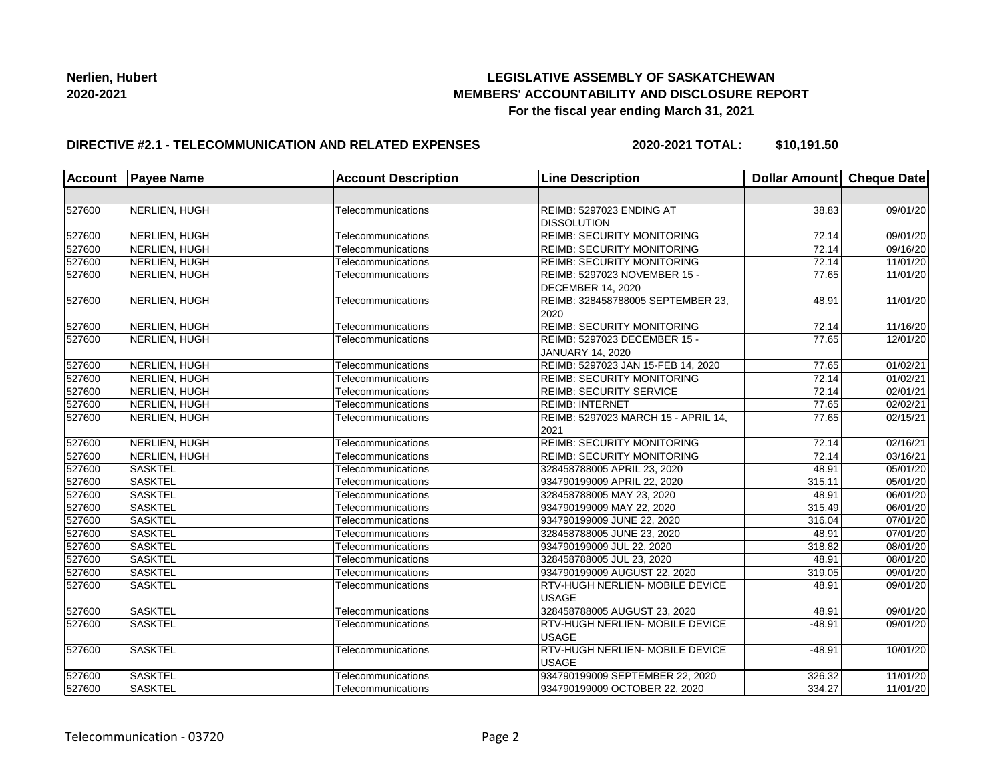## **LEGISLATIVE ASSEMBLY OF SASKATCHEWAN MEMBERS' ACCOUNTABILITY AND DISCLOSURE REPORT For the fiscal year ending March 31, 2021**

### **DIRECTIVE #2.1 - TELECOMMUNICATION AND RELATED EXPENSES**

**2020-2021 TOTAL: \$10,191.50**

| <b>Account</b> | <b>Payee Name</b> | <b>Account Description</b> | <b>Line Description</b>                                  | Dollar Amount Cheque Date |          |
|----------------|-------------------|----------------------------|----------------------------------------------------------|---------------------------|----------|
|                |                   |                            |                                                          |                           |          |
| 527600         | NERLIEN, HUGH     | Telecommunications         | REIMB: 5297023 ENDING AT<br><b>DISSOLUTION</b>           | 38.83                     | 09/01/20 |
| 527600         | NERLIEN, HUGH     | Telecommunications         | <b>REIMB: SECURITY MONITORING</b>                        | 72.14                     | 09/01/20 |
| 527600         | NERLIEN, HUGH     | Telecommunications         | <b>REIMB: SECURITY MONITORING</b>                        | 72.14                     | 09/16/20 |
| 527600         | NERLIEN, HUGH     | Telecommunications         | <b>REIMB: SECURITY MONITORING</b>                        | 72.14                     | 11/01/20 |
| 527600         | NERLIEN, HUGH     | Telecommunications         | REIMB: 5297023 NOVEMBER 15 -<br><b>DECEMBER 14, 2020</b> | 77.65                     | 11/01/20 |
| 527600         | NERLIEN, HUGH     | Telecommunications         | REIMB: 328458788005 SEPTEMBER 23,<br>2020                | 48.91                     | 11/01/20 |
| 527600         | NERLIEN, HUGH     | Telecommunications         | <b>REIMB: SECURITY MONITORING</b>                        | 72.14                     | 11/16/20 |
| 527600         | NERLIEN, HUGH     | Telecommunications         | REIMB: 5297023 DECEMBER 15 -                             | 77.65                     | 12/01/20 |
|                |                   |                            | <b>JANUARY 14, 2020</b>                                  |                           |          |
| 527600         | NERLIEN, HUGH     | Telecommunications         | REIMB: 5297023 JAN 15-FEB 14, 2020                       | 77.65                     | 01/02/21 |
| 527600         | NERLIEN, HUGH     | Telecommunications         | <b>REIMB: SECURITY MONITORING</b>                        | 72.14                     | 01/02/21 |
| 527600         | NERLIEN, HUGH     | Telecommunications         | <b>REIMB: SECURITY SERVICE</b>                           | 72.14                     | 02/01/21 |
| 527600         | NERLIEN, HUGH     | Telecommunications         | <b>REIMB: INTERNET</b>                                   | 77.65                     | 02/02/21 |
| 527600         | NERLIEN, HUGH     | Telecommunications         | REIMB: 5297023 MARCH 15 - APRIL 14,<br>2021              | 77.65                     | 02/15/21 |
| 527600         | NERLIEN, HUGH     | Telecommunications         | <b>REIMB: SECURITY MONITORING</b>                        | 72.14                     | 02/16/21 |
| 527600         | NERLIEN, HUGH     | Telecommunications         | <b>REIMB: SECURITY MONITORING</b>                        | 72.14                     | 03/16/21 |
| 527600         | <b>SASKTEL</b>    | Telecommunications         | 328458788005 APRIL 23, 2020                              | 48.91                     | 05/01/20 |
| 527600         | <b>SASKTEL</b>    | Telecommunications         | 934790199009 APRIL 22, 2020                              | 315.11                    | 05/01/20 |
| 527600         | <b>SASKTEL</b>    | Telecommunications         | 328458788005 MAY 23, 2020                                | 48.91                     | 06/01/20 |
| 527600         | <b>SASKTEL</b>    | Telecommunications         | 934790199009 MAY 22, 2020                                | 315.49                    | 06/01/20 |
| 527600         | <b>SASKTEL</b>    | Telecommunications         | 934790199009 JUNE 22, 2020                               | 316.04                    | 07/01/20 |
| 527600         | <b>SASKTEL</b>    | Telecommunications         | 328458788005 JUNE 23, 2020                               | 48.91                     | 07/01/20 |
| 527600         | SASKTEL           | Telecommunications         | 934790199009 JUL 22, 2020                                | 318.82                    | 08/01/20 |
| 527600         | <b>SASKTEL</b>    | Telecommunications         | 328458788005 JUL 23, 2020                                | 48.91                     | 08/01/20 |
| 527600         | <b>SASKTEL</b>    | Telecommunications         | 934790199009 AUGUST 22, 2020                             | 319.05                    | 09/01/20 |
| 527600         | <b>SASKTEL</b>    | Telecommunications         | RTV-HUGH NERLIEN- MOBILE DEVICE<br><b>USAGE</b>          | 48.91                     | 09/01/20 |
| 527600         | <b>SASKTEL</b>    | Telecommunications         | 328458788005 AUGUST 23, 2020                             | 48.91                     | 09/01/20 |
| 527600         | <b>SASKTEL</b>    | Telecommunications         | <b>RTV-HUGH NERLIEN- MOBILE DEVICE</b><br><b>USAGE</b>   | $-48.91$                  | 09/01/20 |
| 527600         | <b>SASKTEL</b>    | Telecommunications         | RTV-HUGH NERLIEN- MOBILE DEVICE<br><b>USAGE</b>          | $-48.91$                  | 10/01/20 |
| 527600         | <b>SASKTEL</b>    | Telecommunications         | 934790199009 SEPTEMBER 22, 2020                          | 326.32                    | 11/01/20 |
| 527600         | <b>SASKTEL</b>    | Telecommunications         | 934790199009 OCTOBER 22, 2020                            | 334.27                    | 11/01/20 |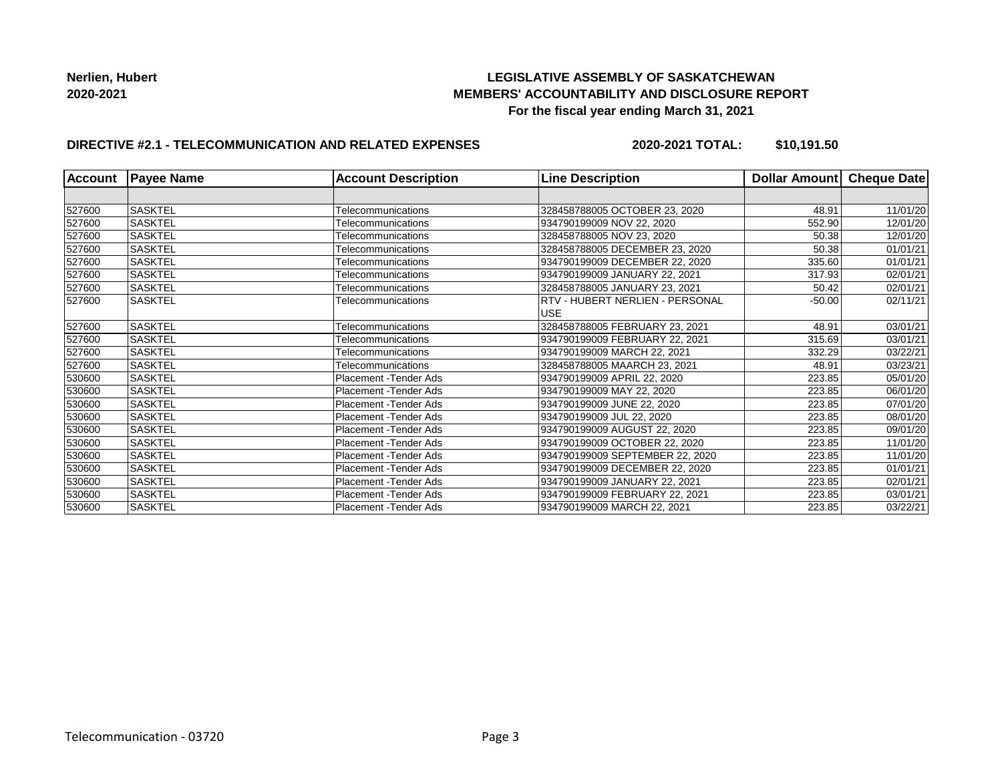## **LEGISLATIVE ASSEMBLY OF SASKATCHEWAN MEMBERS' ACCOUNTABILITY AND DISCLOSURE REPORT For the fiscal year ending March 31, 2021**

# **DIRECTIVE #2.1 - TELECOMMUNICATION AND RELATED EXPENSES**

**2020-2021 TOTAL: \$10,191.50**

| <b>Account</b> | <b>Payee Name</b> | <b>Account Description</b> | <b>Line Description</b>                | Dollar Amount | Cheque Date |
|----------------|-------------------|----------------------------|----------------------------------------|---------------|-------------|
|                |                   |                            |                                        |               |             |
| 527600         | <b>SASKTEL</b>    | Telecommunications         | 328458788005 OCTOBER 23, 2020          | 48.91         | 11/01/20    |
| 527600         | <b>SASKTEL</b>    | Telecommunications         | 934790199009 NOV 22, 2020              | 552.90        | 12/01/20    |
| 527600         | SASKTEL           | Telecommunications         | 328458788005 NOV 23, 2020              | 50.38         | 12/01/20    |
| 527600         | <b>SASKTEL</b>    | Telecommunications         | 328458788005 DECEMBER 23, 2020         | 50.38         | 01/01/21    |
| 527600         | <b>SASKTEL</b>    | Telecommunications         | 934790199009 DECEMBER 22, 2020         | 335.60        | 01/01/21    |
| 527600         | <b>SASKTEL</b>    | Telecommunications         | 934790199009 JANUARY 22, 2021          | 317.93        | 02/01/21    |
| 527600         | <b>SASKTEL</b>    | Telecommunications         | 328458788005 JANUARY 23, 2021          | 50.42         | 02/01/21    |
| 527600         | <b>SASKTEL</b>    | Telecommunications         | <b>RTV - HUBERT NERLIEN - PERSONAL</b> | $-50.00$      | 02/11/21    |
|                |                   |                            | <b>USE</b>                             |               |             |
| 527600         | <b>SASKTEL</b>    | Telecommunications         | 328458788005 FEBRUARY 23, 2021         | 48.91         | 03/01/21    |
| 527600         | <b>SASKTEL</b>    | Telecommunications         | 934790199009 FEBRUARY 22, 2021         | 315.69        | 03/01/21    |
| 527600         | <b>SASKTEL</b>    | Telecommunications         | 934790199009 MARCH 22, 2021            | 332.29        | 03/22/21    |
| 527600         | <b>SASKTEL</b>    | Telecommunications         | 328458788005 MAARCH 23, 2021           | 48.91         | 03/23/21    |
| 530600         | <b>SASKTEL</b>    | Placement -Tender Ads      | 934790199009 APRIL 22, 2020            | 223.85        | 05/01/20    |
| 530600         | <b>SASKTEL</b>    | Placement -Tender Ads      | 934790199009 MAY 22, 2020              | 223.85        | 06/01/20    |
| 530600         | <b>SASKTEL</b>    | Placement -Tender Ads      | 934790199009 JUNE 22, 2020             | 223.85        | 07/01/20    |
| 530600         | <b>SASKTEL</b>    | Placement - Tender Ads     | 934790199009 JUL 22, 2020              | 223.85        | 08/01/20    |
| 530600         | <b>SASKTEL</b>    | Placement -Tender Ads      | 934790199009 AUGUST 22, 2020           | 223.85        | 09/01/20    |
| 530600         | <b>SASKTEL</b>    | Placement -Tender Ads      | 934790199009 OCTOBER 22, 2020          | 223.85        | 11/01/20    |
| 530600         | <b>SASKTEL</b>    | Placement - Tender Ads     | 934790199009 SEPTEMBER 22, 2020        | 223.85        | 11/01/20    |
| 530600         | <b>SASKTEL</b>    | Placement - Tender Ads     | 934790199009 DECEMBER 22, 2020         | 223.85        | 01/01/21    |
| 530600         | <b>SASKTEL</b>    | Placement - Tender Ads     | 934790199009 JANUARY 22, 2021          | 223.85        | 02/01/21    |
| 530600         | <b>SASKTEL</b>    | Placement -Tender Ads      | 934790199009 FEBRUARY 22, 2021         | 223.85        | 03/01/21    |
| 530600         | <b>SASKTEL</b>    | Placement -Tender Ads      | 934790199009 MARCH 22, 2021            | 223.85        | 03/22/21    |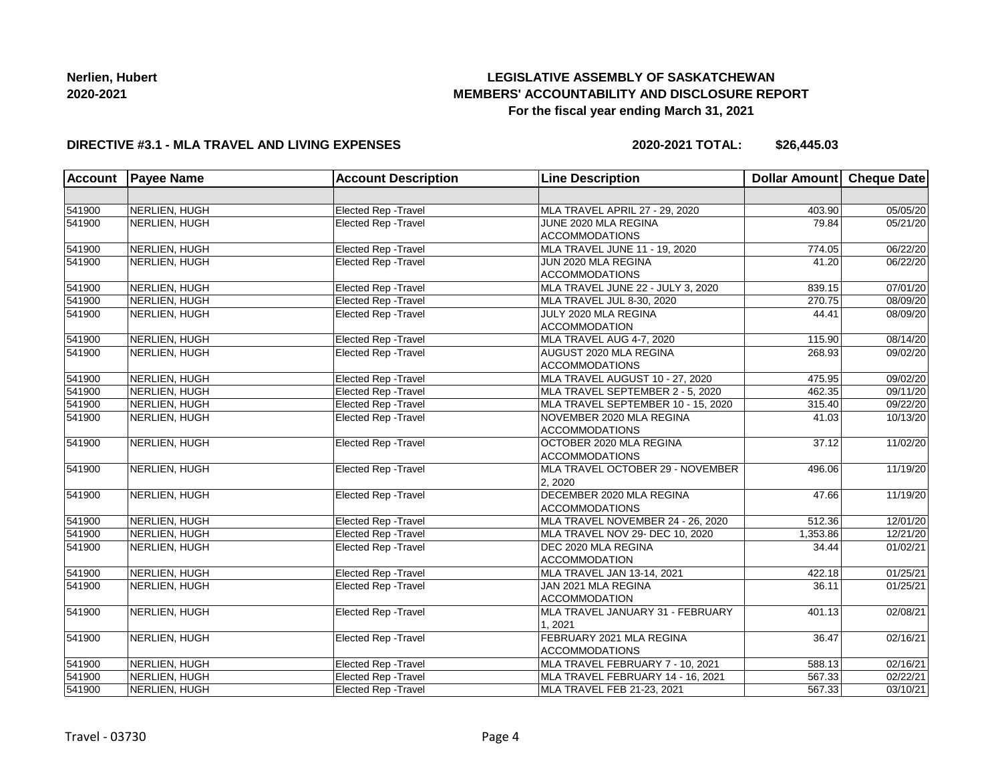# **LEGISLATIVE ASSEMBLY OF SASKATCHEWAN MEMBERS' ACCOUNTABILITY AND DISCLOSURE REPORT For the fiscal year ending March 31, 2021**

### **DIRECTIVE #3.1 - MLA TRAVEL AND LIVING EXPENSES**

**2020-2021 TOTAL: \$26,445.03**

| <b>Account</b>   | <b>Payee Name</b> | <b>Account Description</b>  | <b>Line Description</b>            | Dollar Amount Cheque Date |                       |
|------------------|-------------------|-----------------------------|------------------------------------|---------------------------|-----------------------|
|                  |                   |                             |                                    |                           |                       |
| 541900           | NERLIEN, HUGH     | Elected Rep - Travel        | MLA TRAVEL APRIL 27 - 29, 2020     | 403.90                    | 05/05/20              |
| 541900           | NERLIEN, HUGH     | Elected Rep - Travel        | JUNE 2020 MLA REGINA               | 79.84                     | 05/21/20              |
|                  |                   |                             | <b>ACCOMMODATIONS</b>              |                           |                       |
| 541900           | NERLIEN, HUGH     | Elected Rep - Travel        | MLA TRAVEL JUNE 11 - 19, 2020      | 774.05                    | 06/22/20              |
| 541900           | NERLIEN, HUGH     | Elected Rep - Travel        | JUN 2020 MLA REGINA                | 41.20                     | 06/22/20              |
|                  |                   |                             | <b>ACCOMMODATIONS</b>              |                           |                       |
| 541900           | NERLIEN, HUGH     | Elected Rep - Travel        | MLA TRAVEL JUNE 22 - JULY 3, 2020  | 839.15                    | $\overline{07/0}1/20$ |
| 541900           | NERLIEN, HUGH     | Elected Rep - Travel        | MLA TRAVEL JUL 8-30, 2020          | 270.75                    | 08/09/20              |
| 541900           | NERLIEN, HUGH     | <b>Elected Rep - Travel</b> | JULY 2020 MLA REGINA               | 44.41                     | 08/09/20              |
|                  |                   |                             | <b>ACCOMMODATION</b>               |                           |                       |
| 541900           | NERLIEN, HUGH     | Elected Rep - Travel        | MLA TRAVEL AUG 4-7, 2020           | 115.90                    | 08/14/20              |
| 541900           | NERLIEN, HUGH     | Elected Rep - Travel        | AUGUST 2020 MLA REGINA             | 268.93                    | 09/02/20              |
|                  |                   |                             | <b>ACCOMMODATIONS</b>              |                           |                       |
| 541900           | NERLIEN, HUGH     | Elected Rep - Travel        | MLA TRAVEL AUGUST 10 - 27, 2020    | 475.95                    | 09/02/20              |
| 541900           | NERLIEN, HUGH     | Elected Rep - Travel        | MLA TRAVEL SEPTEMBER 2 - 5, 2020   | 462.35                    | 09/11/20              |
| 541900           | NERLIEN, HUGH     | Elected Rep - Travel        | MLA TRAVEL SEPTEMBER 10 - 15, 2020 | 315.40                    | 09/22/20              |
| 541900           | NERLIEN, HUGH     | Elected Rep - Travel        | NOVEMBER 2020 MLA REGINA           | 41.03                     | 10/13/20              |
|                  |                   |                             | <b>ACCOMMODATIONS</b>              |                           |                       |
| 541900           | NERLIEN, HUGH     | Elected Rep - Travel        | OCTOBER 2020 MLA REGINA            | 37.12                     | 11/02/20              |
|                  |                   |                             | <b>ACCOMMODATIONS</b>              |                           |                       |
| 541900           | NERLIEN, HUGH     | Elected Rep - Travel        | MLA TRAVEL OCTOBER 29 - NOVEMBER   | 496.06                    | 11/19/20              |
|                  |                   |                             | 2. 2020                            |                           |                       |
| 541900           | NERLIEN, HUGH     | Elected Rep - Travel        | DECEMBER 2020 MLA REGINA           | 47.66                     | 11/19/20              |
|                  |                   |                             | <b>ACCOMMODATIONS</b>              |                           |                       |
| 541900           | NERLIEN, HUGH     | Elected Rep - Travel        | MLA TRAVEL NOVEMBER 24 - 26, 2020  | 512.36                    | 12/01/20              |
| 541900           | NERLIEN, HUGH     | <b>Elected Rep - Travel</b> | MLA TRAVEL NOV 29- DEC 10, 2020    | 1,353.86                  | 12/21/20              |
| 541900           | NERLIEN, HUGH     | Elected Rep - Travel        | DEC 2020 MLA REGINA                | 34.44                     | 01/02/21              |
|                  |                   |                             | <b>ACCOMMODATION</b>               |                           |                       |
| 541900           | NERLIEN, HUGH     | Elected Rep - Travel        | MLA TRAVEL JAN 13-14, 2021         | 422.18                    | 01/25/21              |
| 541900           | NERLIEN, HUGH     | Elected Rep - Travel        | JAN 2021 MLA REGINA                | 36.11                     | 01/25/21              |
|                  |                   |                             | <b>ACCOMMODATION</b>               |                           |                       |
| 541900           | NERLIEN, HUGH     | Elected Rep - Travel        | MLA TRAVEL JANUARY 31 - FEBRUARY   | 401.13                    | 02/08/21              |
|                  |                   |                             | 1.2021                             |                           |                       |
| 541900           | NERLIEN, HUGH     | Elected Rep - Travel        | FEBRUARY 2021 MLA REGINA           | 36.47                     | 02/16/21              |
|                  |                   |                             | <b>ACCOMMODATIONS</b>              |                           |                       |
| 541900<br>541900 | NERLIEN, HUGH     | Elected Rep - Travel        | MLA TRAVEL FEBRUARY 7 - 10, 2021   | 588.13                    | 02/16/21              |
|                  | NERLIEN, HUGH     | Elected Rep - Travel        | MLA TRAVEL FEBRUARY 14 - 16, 2021  | 567.33                    | 02/22/21              |
| 541900           | NERLIEN, HUGH     | Elected Rep - Travel        | MLA TRAVEL FEB 21-23, 2021         | 567.33                    | 03/10/21              |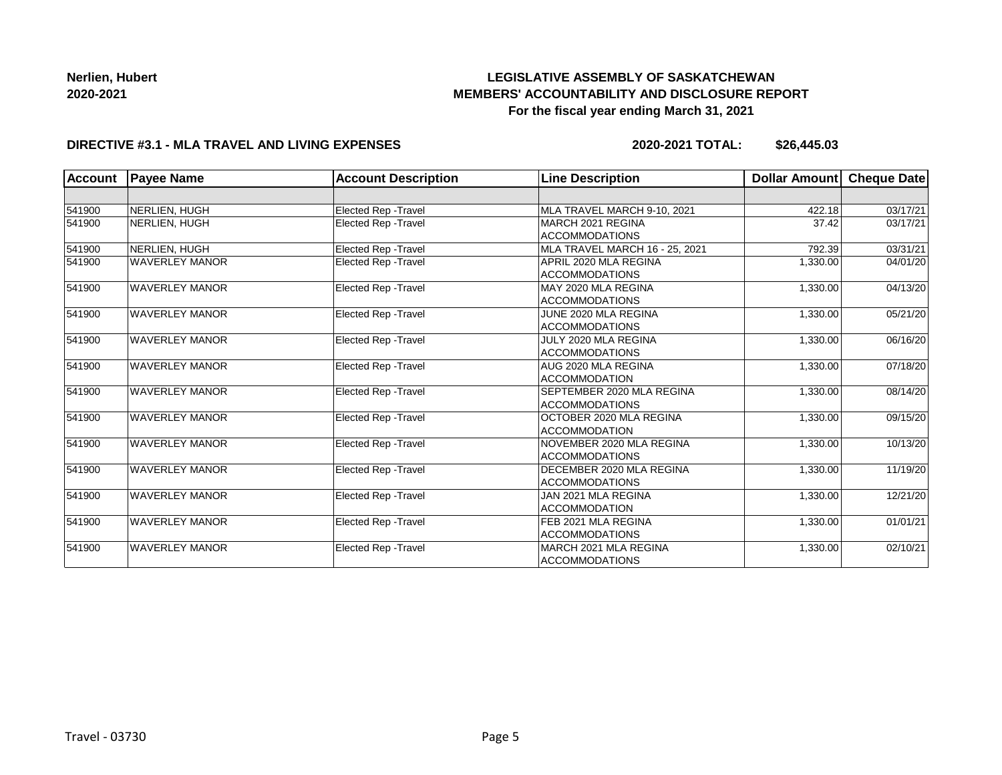# **LEGISLATIVE ASSEMBLY OF SASKATCHEWAN MEMBERS' ACCOUNTABILITY AND DISCLOSURE REPORT For the fiscal year ending March 31, 2021**

### **DIRECTIVE #3.1 - MLA TRAVEL AND LIVING EXPENSES**

**2020-2021 TOTAL: \$26,445.03**

| <b>Account</b> | <b>Payee Name</b>     | <b>Account Description</b>  | <b>Line Description</b>        | Dollar Amount | Cheque Date |
|----------------|-----------------------|-----------------------------|--------------------------------|---------------|-------------|
|                |                       |                             |                                |               |             |
| 541900         | NERLIEN. HUGH         | Elected Rep - Travel        | MLA TRAVEL MARCH 9-10, 2021    | 422.18        | 03/17/21    |
| 541900         | NERLIEN, HUGH         | <b>Elected Rep - Travel</b> | MARCH 2021 REGINA              | 37.42         | 03/17/21    |
|                |                       |                             | <b>ACCOMMODATIONS</b>          |               |             |
| 541900         | NERLIEN. HUGH         | <b>Elected Rep - Travel</b> | MLA TRAVEL MARCH 16 - 25, 2021 | 792.39        | 03/31/21    |
| 541900         | <b>WAVERLEY MANOR</b> | Elected Rep - Travel        | APRIL 2020 MLA REGINA          | 1,330.00      | 04/01/20    |
|                |                       |                             | <b>ACCOMMODATIONS</b>          |               |             |
| 541900         | <b>WAVERLEY MANOR</b> | Elected Rep - Travel        | MAY 2020 MLA REGINA            | 1,330.00      | 04/13/20    |
|                |                       |                             | <b>ACCOMMODATIONS</b>          |               |             |
| 541900         | <b>WAVERLEY MANOR</b> | <b>Elected Rep - Travel</b> | JUNE 2020 MLA REGINA           | 1,330.00      | 05/21/20    |
|                |                       |                             | <b>ACCOMMODATIONS</b>          |               |             |
| 541900         | <b>WAVERLEY MANOR</b> | Elected Rep - Travel        | JULY 2020 MLA REGINA           | 1,330.00      | 06/16/20    |
|                |                       |                             | <b>ACCOMMODATIONS</b>          |               |             |
| 541900         | <b>WAVERLEY MANOR</b> | Elected Rep - Travel        | AUG 2020 MLA REGINA            | 1,330.00      | 07/18/20    |
|                |                       |                             | <b>ACCOMMODATION</b>           |               |             |
| 541900         | <b>WAVERLEY MANOR</b> | <b>Elected Rep - Travel</b> | SEPTEMBER 2020 MLA REGINA      | 1,330.00      | 08/14/20    |
|                |                       |                             | <b>ACCOMMODATIONS</b>          |               |             |
| 541900         | <b>WAVERLEY MANOR</b> | Elected Rep - Travel        | OCTOBER 2020 MLA REGINA        | 1,330.00      | 09/15/20    |
|                |                       |                             | <b>ACCOMMODATION</b>           |               |             |
| 541900         | <b>WAVERLEY MANOR</b> | Elected Rep - Travel        | NOVEMBER 2020 MLA REGINA       | 1,330.00      | 10/13/20    |
|                |                       |                             | <b>ACCOMMODATIONS</b>          |               |             |
| 541900         | <b>WAVERLEY MANOR</b> | <b>Elected Rep - Travel</b> | DECEMBER 2020 MLA REGINA       | 1,330.00      | 11/19/20    |
|                |                       |                             | <b>ACCOMMODATIONS</b>          |               |             |
| 541900         | <b>WAVERLEY MANOR</b> | Elected Rep - Travel        | <b>JAN 2021 MLA REGINA</b>     | 1,330.00      | 12/21/20    |
|                |                       |                             | <b>ACCOMMODATION</b>           |               |             |
| 541900         | <b>WAVERLEY MANOR</b> | Elected Rep - Travel        | FEB 2021 MLA REGINA            | 1,330.00      | 01/01/21    |
|                |                       |                             | <b>ACCOMMODATIONS</b>          |               |             |
| 541900         | <b>WAVERLEY MANOR</b> | Elected Rep - Travel        | MARCH 2021 MLA REGINA          | 1,330.00      | 02/10/21    |
|                |                       |                             | <b>ACCOMMODATIONS</b>          |               |             |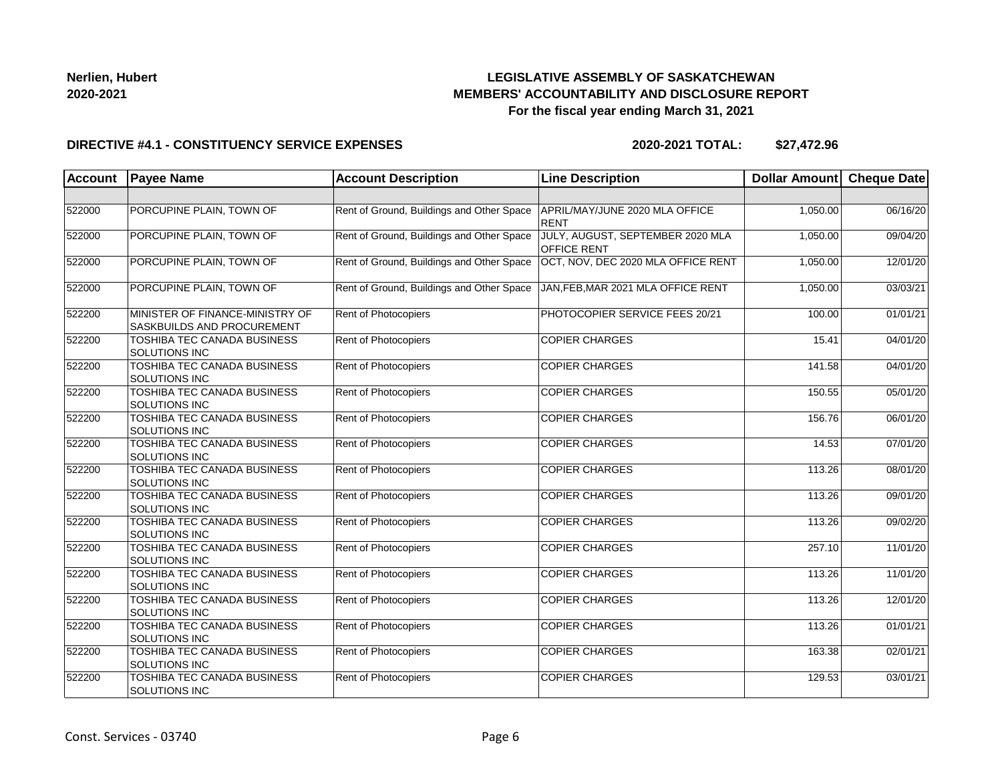## **LEGISLATIVE ASSEMBLY OF SASKATCHEWAN MEMBERS' ACCOUNTABILITY AND DISCLOSURE REPORT For the fiscal year ending March 31, 2021**

### **DIRECTIVE #4.1 - CONSTITUENCY SERVICE EXPENSES**

| Account | <b>Payee Name</b>                                             | <b>Account Description</b>                | <b>Line Description</b>                                | Dollar Amount Cheque Date |          |
|---------|---------------------------------------------------------------|-------------------------------------------|--------------------------------------------------------|---------------------------|----------|
|         |                                                               |                                           |                                                        |                           |          |
| 522000  | PORCUPINE PLAIN, TOWN OF                                      | Rent of Ground, Buildings and Other Space | APRIL/MAY/JUNE 2020 MLA OFFICE<br><b>RENT</b>          | 1,050.00                  | 06/16/20 |
| 522000  | PORCUPINE PLAIN, TOWN OF                                      | Rent of Ground, Buildings and Other Space | JULY, AUGUST, SEPTEMBER 2020 MLA<br><b>OFFICE RENT</b> | 1,050.00                  | 09/04/20 |
| 522000  | PORCUPINE PLAIN, TOWN OF                                      | Rent of Ground, Buildings and Other Space | OCT, NOV, DEC 2020 MLA OFFICE RENT                     | 1,050.00                  | 12/01/20 |
| 522000  | PORCUPINE PLAIN, TOWN OF                                      | Rent of Ground, Buildings and Other Space | JAN, FEB, MAR 2021 MLA OFFICE RENT                     | 1,050.00                  | 03/03/21 |
| 522200  | MINISTER OF FINANCE-MINISTRY OF<br>SASKBUILDS AND PROCUREMENT | <b>Rent of Photocopiers</b>               | PHOTOCOPIER SERVICE FEES 20/21                         | 100.00                    | 01/01/21 |
| 522200  | TOSHIBA TEC CANADA BUSINESS<br><b>SOLUTIONS INC</b>           | Rent of Photocopiers                      | <b>COPIER CHARGES</b>                                  | 15.41                     | 04/01/20 |
| 522200  | <b>TOSHIBA TEC CANADA BUSINESS</b><br>SOLUTIONS INC           | Rent of Photocopiers                      | <b>COPIER CHARGES</b>                                  | 141.58                    | 04/01/20 |
| 522200  | <b>TOSHIBA TEC CANADA BUSINESS</b><br>SOLUTIONS INC           | Rent of Photocopiers                      | <b>COPIER CHARGES</b>                                  | 150.55                    | 05/01/20 |
| 522200  | TOSHIBA TEC CANADA BUSINESS<br>SOLUTIONS INC                  | Rent of Photocopiers                      | <b>COPIER CHARGES</b>                                  | 156.76                    | 06/01/20 |
| 522200  | <b>TOSHIBA TEC CANADA BUSINESS</b><br>SOLUTIONS INC           | Rent of Photocopiers                      | <b>COPIER CHARGES</b>                                  | $\overline{14.53}$        | 07/01/20 |
| 522200  | <b>TOSHIBA TEC CANADA BUSINESS</b><br>SOLUTIONS INC           | Rent of Photocopiers                      | <b>COPIER CHARGES</b>                                  | 113.26                    | 08/01/20 |
| 522200  | TOSHIBA TEC CANADA BUSINESS<br><b>SOLUTIONS INC</b>           | Rent of Photocopiers                      | <b>COPIER CHARGES</b>                                  | 113.26                    | 09/01/20 |
| 522200  | <b>TOSHIBA TEC CANADA BUSINESS</b><br>SOLUTIONS INC           | Rent of Photocopiers                      | <b>COPIER CHARGES</b>                                  | 113.26                    | 09/02/20 |
| 522200  | <b>TOSHIBA TEC CANADA BUSINESS</b><br>SOLUTIONS INC           | Rent of Photocopiers                      | <b>COPIER CHARGES</b>                                  | 257.10                    | 11/01/20 |
| 522200  | TOSHIBA TEC CANADA BUSINESS<br>SOLUTIONS INC                  | Rent of Photocopiers                      | <b>COPIER CHARGES</b>                                  | 113.26                    | 11/01/20 |
| 522200  | TOSHIBA TEC CANADA BUSINESS<br><b>SOLUTIONS INC</b>           | Rent of Photocopiers                      | <b>COPIER CHARGES</b>                                  | 113.26                    | 12/01/20 |
| 522200  | TOSHIBA TEC CANADA BUSINESS<br>SOLUTIONS INC                  | Rent of Photocopiers                      | <b>COPIER CHARGES</b>                                  | 113.26                    | 01/01/21 |
| 522200  | TOSHIBA TEC CANADA BUSINESS<br><b>SOLUTIONS INC</b>           | Rent of Photocopiers                      | <b>COPIER CHARGES</b>                                  | 163.38                    | 02/01/21 |
| 522200  | TOSHIBA TEC CANADA BUSINESS<br>SOLUTIONS INC                  | Rent of Photocopiers                      | <b>COPIER CHARGES</b>                                  | 129.53                    | 03/01/21 |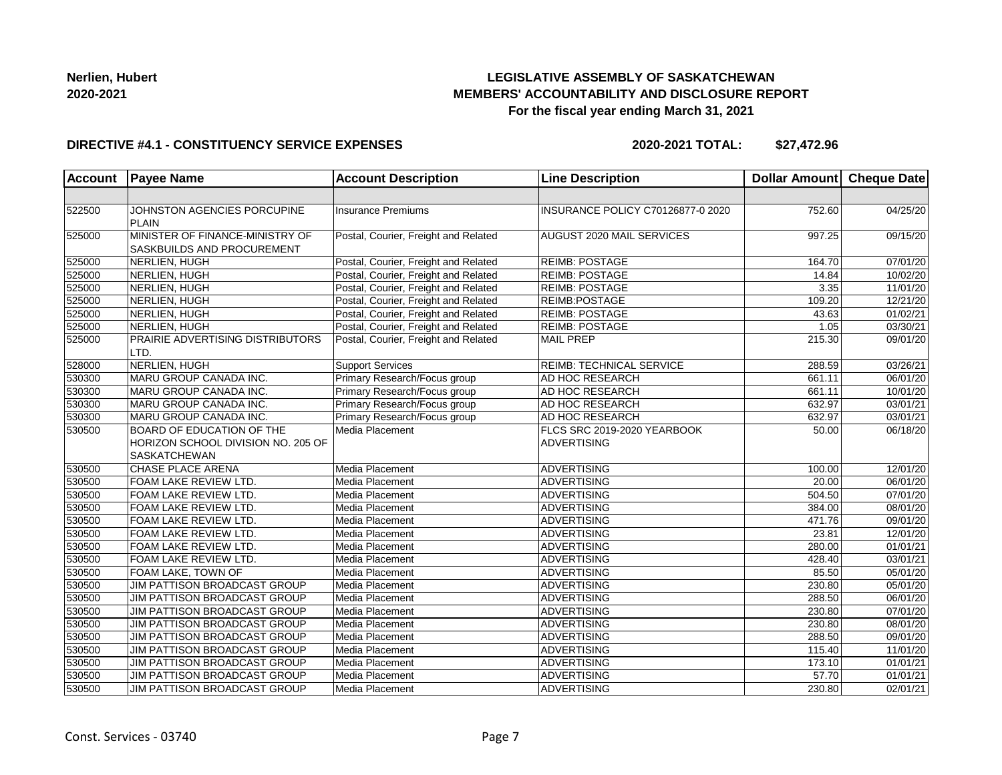## **LEGISLATIVE ASSEMBLY OF SASKATCHEWAN MEMBERS' ACCOUNTABILITY AND DISCLOSURE REPORT For the fiscal year ending March 31, 2021**

### **DIRECTIVE #4.1 - CONSTITUENCY SERVICE EXPENSES**

| <b>Account</b> | <b>Payee Name</b>                                                    | <b>Account Description</b>           | <b>Line Description</b>           | Dollar Amount Cheque Date |                       |
|----------------|----------------------------------------------------------------------|--------------------------------------|-----------------------------------|---------------------------|-----------------------|
|                |                                                                      |                                      |                                   |                           |                       |
| 522500         | JOHNSTON AGENCIES PORCUPINE<br>PLAIN                                 | <b>Insurance Premiums</b>            | INSURANCE POLICY C70126877-0 2020 | 752.60                    | 04/25/20              |
| 525000         | MINISTER OF FINANCE-MINISTRY OF<br><b>SASKBUILDS AND PROCUREMENT</b> | Postal, Courier, Freight and Related | <b>AUGUST 2020 MAIL SERVICES</b>  | 997.25                    | 09/15/20              |
| 525000         | NERLIEN, HUGH                                                        | Postal, Courier, Freight and Related | <b>REIMB: POSTAGE</b>             | 164.70                    | 07/01/20              |
| 525000         | NERLIEN, HUGH                                                        | Postal, Courier, Freight and Related | REIMB: POSTAGE                    | 14.84                     | 10/02/20              |
| 525000         | NERLIEN, HUGH                                                        | Postal, Courier, Freight and Related | <b>REIMB: POSTAGE</b>             | 3.35                      | 11/01/20              |
| 525000         | NERLIEN, HUGH                                                        | Postal, Courier, Freight and Related | REIMB:POSTAGE                     | 109.20                    | 12/21/20              |
| 525000         | NERLIEN, HUGH                                                        | Postal, Courier, Freight and Related | REIMB: POSTAGE                    | 43.63                     | $\overline{01/02/21}$ |
| 525000         | NERLIEN, HUGH                                                        | Postal, Courier, Freight and Related | REIMB: POSTAGE                    | 1.05                      | 03/30/21              |
| 525000         | PRAIRIE ADVERTISING DISTRIBUTORS<br>LTD.                             | Postal, Courier, Freight and Related | <b>MAIL PREP</b>                  | 215.30                    | 09/01/20              |
| 528000         | NERLIEN, HUGH                                                        | <b>Support Services</b>              | <b>REIMB: TECHNICAL SERVICE</b>   | 288.59                    | 03/26/21              |
| 530300         | MARU GROUP CANADA INC.                                               | Primary Research/Focus group         | AD HOC RESEARCH                   | 661.11                    | 06/01/20              |
| 530300         | MARU GROUP CANADA INC.                                               | Primary Research/Focus group         | <b>AD HOC RESEARCH</b>            | 661.11                    | 10/01/20              |
| 530300         | MARU GROUP CANADA INC.                                               | Primary Research/Focus group         | <b>AD HOC RESEARCH</b>            | 632.97                    | 03/01/21              |
| 530300         | MARU GROUP CANADA INC.                                               | Primary Research/Focus group         | <b>AD HOC RESEARCH</b>            | 632.97                    | 03/01/21              |
| 530500         | <b>BOARD OF EDUCATION OF THE</b>                                     | Media Placement                      | FLCS SRC 2019-2020 YEARBOOK       | 50.00                     | 06/18/20              |
|                | HORIZON SCHOOL DIVISION NO. 205 OF                                   |                                      | <b>ADVERTISING</b>                |                           |                       |
|                | <b>SASKATCHEWAN</b>                                                  |                                      |                                   |                           |                       |
| 530500         | CHASE PLACE ARENA                                                    | Media Placement                      | ADVERTISING                       | 100.00                    | 12/01/20              |
| 530500         | FOAM LAKE REVIEW LTD.                                                | Media Placement                      | ADVERTISING                       | 20.00                     | 06/01/20              |
| 530500         | FOAM LAKE REVIEW LTD.                                                | Media Placement                      | <b>ADVERTISING</b>                | 504.50                    | 07/01/20              |
| 530500         | FOAM LAKE REVIEW LTD.                                                | Media Placement                      | ADVERTISING                       | 384.00                    | 08/01/20              |
| 530500         | FOAM LAKE REVIEW LTD.                                                | Media Placement                      | ADVERTISING                       | 471.76                    | 09/01/20              |
| 530500         | FOAM LAKE REVIEW LTD.                                                | Media Placement                      | <b>ADVERTISING</b>                | 23.81                     | 12/01/20              |
| 530500         | <b>FOAM LAKE REVIEW LTD.</b>                                         | Media Placement                      | ADVERTISING                       | 280.00                    | 01/01/21              |
| 530500         | <b>FOAM LAKE REVIEW LTD.</b>                                         | Media Placement                      | <b>ADVERTISING</b>                | 428.40                    | 03/01/21              |
| 530500         | FOAM LAKE, TOWN OF                                                   | Media Placement                      | <b>ADVERTISING</b>                | 85.50                     | 05/01/20              |
| 530500         | JIM PATTISON BROADCAST GROUP                                         | Media Placement                      | <b>ADVERTISING</b>                | 230.80                    | $\overline{05}/01/20$ |
| 530500         | JIM PATTISON BROADCAST GROUP                                         | Media Placement                      | <b>ADVERTISING</b>                | 288.50                    | 06/01/20              |
| 530500         | JIM PATTISON BROADCAST GROUP                                         | Media Placement                      | ADVERTISING                       | 230.80                    | 07/01/20              |
| 530500         | JIM PATTISON BROADCAST GROUP                                         | Media Placement                      | <b>ADVERTISING</b>                | 230.80                    | 08/01/20              |
| 530500         | JIM PATTISON BROADCAST GROUP                                         | Media Placement                      | <b>ADVERTISING</b>                | 288.50                    | 09/01/20              |
| 530500         | JIM PATTISON BROADCAST GROUP                                         | Media Placement                      | <b>ADVERTISING</b>                | 115.40                    | $\overline{11}/01/20$ |
| 530500         | JIM PATTISON BROADCAST GROUP                                         | Media Placement                      | <b>ADVERTISING</b>                | 173.10                    | 01/01/21              |
| 530500         | JIM PATTISON BROADCAST GROUP                                         | Media Placement                      | <b>ADVERTISING</b>                | 57.70                     | 01/01/21              |
| 530500         | JIM PATTISON BROADCAST GROUP                                         | Media Placement                      | ADVERTISING                       | 230.80                    | 02/01/21              |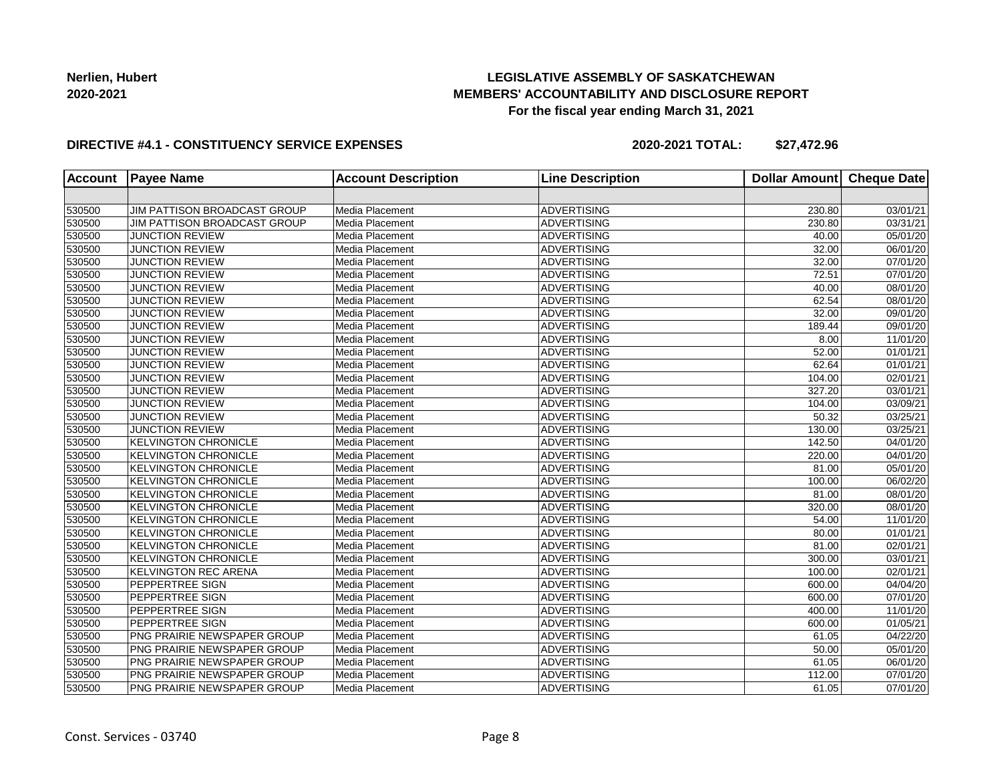## **LEGISLATIVE ASSEMBLY OF SASKATCHEWAN MEMBERS' ACCOUNTABILITY AND DISCLOSURE REPORT For the fiscal year ending March 31, 2021**

### **DIRECTIVE #4.1 - CONSTITUENCY SERVICE EXPENSES**

| <b>Account</b> | <b>Payee Name</b>                  | <b>Account Description</b> | <b>Line Description</b> | <b>Dollar Amount</b> | <b>Cheque Date</b>    |
|----------------|------------------------------------|----------------------------|-------------------------|----------------------|-----------------------|
|                |                                    |                            |                         |                      |                       |
| 530500         | JIM PATTISON BROADCAST GROUP       | Media Placement            | <b>ADVERTISING</b>      | 230.80               | 03/01/21              |
| 530500         | JIM PATTISON BROADCAST GROUP       | Media Placement            | <b>ADVERTISING</b>      | 230.80               | 03/31/21              |
| 530500         | <b>JUNCTION REVIEW</b>             | Media Placement            | <b>ADVERTISING</b>      | 40.00                | 05/01/20              |
| 530500         | <b>JUNCTION REVIEW</b>             | Media Placement            | <b>ADVERTISING</b>      | 32.00                | 06/01/20              |
| 530500         | <b>JUNCTION REVIEW</b>             | Media Placement            | <b>ADVERTISING</b>      | 32.00                | 07/01/20              |
| 530500         | <b>JUNCTION REVIEW</b>             | Media Placement            | <b>ADVERTISING</b>      | 72.51                | 07/01/20              |
| 530500         | <b>JUNCTION REVIEW</b>             | Media Placement            | <b>ADVERTISING</b>      | 40.00                | 08/01/20              |
| 530500         | <b>JUNCTION REVIEW</b>             | Media Placement            | <b>ADVERTISING</b>      | 62.54                | 08/01/20              |
| 530500         | <b>JUNCTION REVIEW</b>             | Media Placement            | <b>ADVERTISING</b>      | 32.00                | 09/01/20              |
| 530500         | <b>JUNCTION REVIEW</b>             | Media Placement            | <b>ADVERTISING</b>      | 189.44               | 09/01/20              |
| 530500         | <b>JUNCTION REVIEW</b>             | Media Placement            | <b>ADVERTISING</b>      | 8.00                 | 11/01/20              |
| 530500         | <b>JUNCTION REVIEW</b>             | Media Placement            | <b>ADVERTISING</b>      | 52.00                | $\overline{01/0}1/21$ |
| 530500         | <b>JUNCTION REVIEW</b>             | Media Placement            | <b>ADVERTISING</b>      | 62.64                | 01/01/21              |
| 530500         | <b>JUNCTION REVIEW</b>             | Media Placement            | <b>ADVERTISING</b>      | 104.00               | 02/01/21              |
| 530500         | <b>JUNCTION REVIEW</b>             | Media Placement            | <b>ADVERTISING</b>      | 327.20               | 03/01/21              |
| 530500         | <b>JUNCTION REVIEW</b>             | Media Placement            | <b>ADVERTISING</b>      | 104.00               | 03/09/21              |
| 530500         | <b>JUNCTION REVIEW</b>             | Media Placement            | <b>ADVERTISING</b>      | 50.32                | 03/25/21              |
| 530500         | <b>JUNCTION REVIEW</b>             | Media Placement            | <b>ADVERTISING</b>      | 130.00               | 03/25/21              |
| 530500         | <b>KELVINGTON CHRONICLE</b>        | Media Placement            | <b>ADVERTISING</b>      | 142.50               | 04/01/20              |
| 530500         | <b>KELVINGTON CHRONICLE</b>        | Media Placement            | <b>ADVERTISING</b>      | 220.00               | 04/01/20              |
| 530500         | <b>KELVINGTON CHRONICLE</b>        | Media Placement            | <b>ADVERTISING</b>      | 81.00                | 05/01/20              |
| 530500         | <b>KELVINGTON CHRONICLE</b>        | Media Placement            | <b>ADVERTISING</b>      | 100.00               | 06/02/20              |
| 530500         | <b>KELVINGTON CHRONICLE</b>        | Media Placement            | <b>ADVERTISING</b>      | 81.00                | 08/01/20              |
| 530500         | <b>KELVINGTON CHRONICLE</b>        | Media Placement            | <b>ADVERTISING</b>      | 320.00               | 08/01/20              |
| 530500         | <b>KELVINGTON CHRONICLE</b>        | Media Placement            | <b>ADVERTISING</b>      | 54.00                | 11/01/20              |
| 530500         | <b>KELVINGTON CHRONICLE</b>        | Media Placement            | <b>ADVERTISING</b>      | 80.00                | 01/01/21              |
| 530500         | <b>KELVINGTON CHRONICLE</b>        | Media Placement            | <b>ADVERTISING</b>      | 81.00                | 02/01/21              |
| 530500         | <b>KELVINGTON CHRONICLE</b>        | Media Placement            | <b>ADVERTISING</b>      | 300.00               | 03/01/21              |
| 530500         | <b>KELVINGTON REC ARENA</b>        | Media Placement            | <b>ADVERTISING</b>      | 100.00               | 02/01/21              |
| 530500         | <b>PEPPERTREE SIGN</b>             | Media Placement            | <b>ADVERTISING</b>      | 600.00               | 04/04/20              |
| 530500         | <b>PEPPERTREE SIGN</b>             | Media Placement            | <b>ADVERTISING</b>      | 600.00               | 07/01/20              |
| 530500         | <b>PEPPERTREE SIGN</b>             | Media Placement            | <b>ADVERTISING</b>      | 400.00               | 11/01/20              |
| 530500         | <b>PEPPERTREE SIGN</b>             | Media Placement            | <b>ADVERTISING</b>      | 600.00               | 01/05/21              |
| 530500         | <b>PNG PRAIRIE NEWSPAPER GROUP</b> | Media Placement            | <b>ADVERTISING</b>      | 61.05                | 04/22/20              |
| 530500         | PNG PRAIRIE NEWSPAPER GROUP        | Media Placement            | <b>ADVERTISING</b>      | 50.00                | 05/01/20              |
| 530500         | PNG PRAIRIE NEWSPAPER GROUP        | Media Placement            | <b>ADVERTISING</b>      | 61.05                | 06/01/20              |
| 530500         | PNG PRAIRIE NEWSPAPER GROUP        | Media Placement            | <b>ADVERTISING</b>      | 112.00               | 07/01/20              |
| 530500         | PNG PRAIRIE NEWSPAPER GROUP        | Media Placement            | <b>ADVERTISING</b>      | 61.05                | 07/01/20              |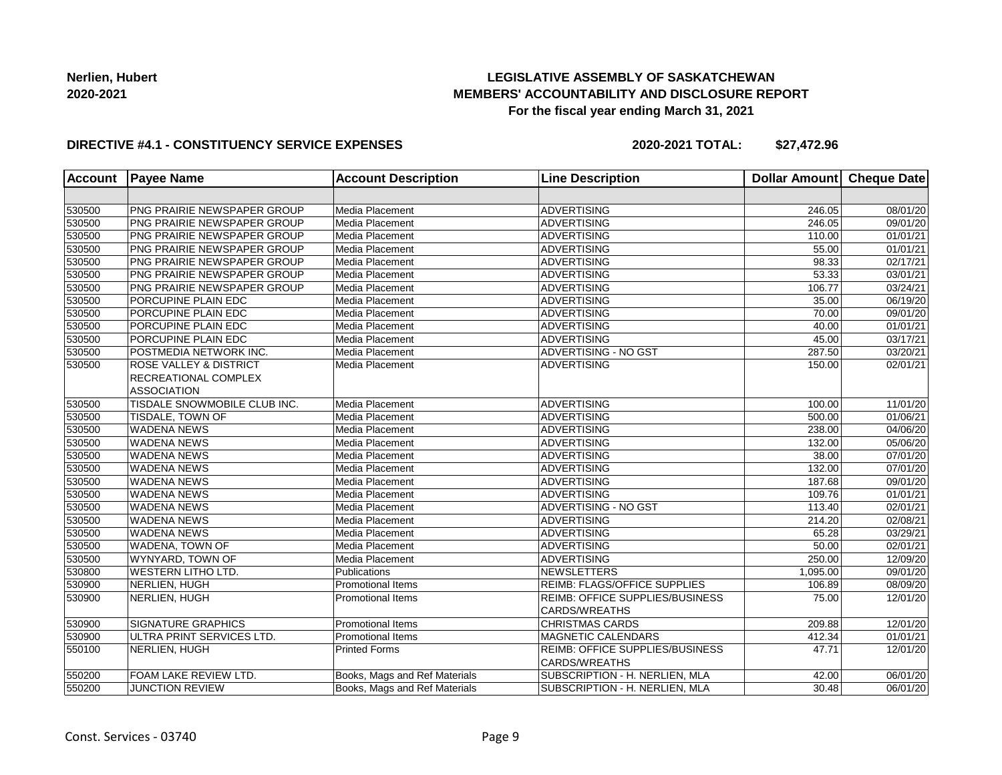## **LEGISLATIVE ASSEMBLY OF SASKATCHEWAN MEMBERS' ACCOUNTABILITY AND DISCLOSURE REPORT For the fiscal year ending March 31, 2021**

#### **DIRECTIVE #4.1 - CONSTITUENCY SERVICE EXPENSES**

| <b>Account</b> | <b>Payee Name</b>                 | <b>Account Description</b>    | <b>Line Description</b>                | <b>Dollar Amount</b> | <b>Cheque Date</b>    |
|----------------|-----------------------------------|-------------------------------|----------------------------------------|----------------------|-----------------------|
|                |                                   |                               |                                        |                      |                       |
| 530500         | PNG PRAIRIE NEWSPAPER GROUP       | Media Placement               | <b>ADVERTISING</b>                     | 246.05               | 08/01/20              |
| 530500         | PNG PRAIRIE NEWSPAPER GROUP       | Media Placement               | <b>ADVERTISING</b>                     | 246.05               | 09/01/20              |
| 530500         | PNG PRAIRIE NEWSPAPER GROUP       | Media Placement               | ADVERTISING                            | 110.00               | 01/01/21              |
| 530500         | PNG PRAIRIE NEWSPAPER GROUP       | Media Placement               | ADVERTISING                            | 55.00                | 01/01/21              |
| 530500         | PNG PRAIRIE NEWSPAPER GROUP       | Media Placement               | <b>ADVERTISING</b>                     | 98.33                | 02/17/21              |
| 530500         | PNG PRAIRIE NEWSPAPER GROUP       | Media Placement               | <b>ADVERTISING</b>                     | 53.33                | 03/01/21              |
| 530500         | PNG PRAIRIE NEWSPAPER GROUP       | Media Placement               | <b>ADVERTISING</b>                     | 106.77               | 03/24/21              |
| 530500         | PORCUPINE PLAIN EDC               | Media Placement               | <b>ADVERTISING</b>                     | 35.00                | 06/19/20              |
| 530500         | PORCUPINE PLAIN EDC               | Media Placement               | ADVERTISING                            | 70.00                | 09/01/20              |
| 530500         | PORCUPINE PLAIN EDC               | Media Placement               | <b>ADVERTISING</b>                     | 40.00                | 01/01/21              |
| 530500         | PORCUPINE PLAIN EDC               | Media Placement               | <b>ADVERTISING</b>                     | 45.00                | 03/17/21              |
| 530500         | POSTMEDIA NETWORK INC.            | Media Placement               | <b>ADVERTISING - NO GST</b>            | 287.50               | 03/20/21              |
| 530500         | <b>ROSE VALLEY &amp; DISTRICT</b> | Media Placement               | <b>ADVERTISING</b>                     | 150.00               | 02/01/21              |
|                | RECREATIONAL COMPLEX              |                               |                                        |                      |                       |
|                | <b>ASSOCIATION</b>                |                               |                                        |                      |                       |
| 530500         | TISDALE SNOWMOBILE CLUB INC.      | Media Placement               | <b>ADVERTISING</b>                     | 100.00               | 11/01/20              |
| 530500         | TISDALE, TOWN OF                  | Media Placement               | <b>ADVERTISING</b>                     | 500.00               | 01/06/21              |
| 530500         | <b>WADENA NEWS</b>                | Media Placement               | <b>ADVERTISING</b>                     | 238.00               | 04/06/20              |
| 530500         | <b>WADENA NEWS</b>                | Media Placement               | <b>ADVERTISING</b>                     | 132.00               | 05/06/20              |
| 530500         | <b>WADENA NEWS</b>                | Media Placement               | <b>ADVERTISING</b>                     | 38.00                | 07/01/20              |
| 530500         | <b>WADENA NEWS</b>                | Media Placement               | ADVERTISING                            | 132.00               | 07/01/20              |
| 530500         | <b>WADENA NEWS</b>                | Media Placement               | <b>ADVERTISING</b>                     | 187.68               | 09/01/20              |
| 530500         | <b>WADENA NEWS</b>                | Media Placement               | <b>ADVERTISING</b>                     | 109.76               | 01/01/21              |
| 530500         | <b>WADENA NEWS</b>                | Media Placement               | <b>ADVERTISING - NO GST</b>            | 113.40               | 02/01/21              |
| 530500         | <b>WADENA NEWS</b>                | Media Placement               | <b>ADVERTISING</b>                     | 214.20               | 02/08/21              |
| 530500         | <b>WADENA NEWS</b>                | Media Placement               | ADVERTISING                            | 65.28                | 03/29/21              |
| 530500         | WADENA, TOWN OF                   | Media Placement               | ADVERTISING                            | 50.00                | 02/01/21              |
| 530500         | WYNYARD, TOWN OF                  | Media Placement               | <b>ADVERTISING</b>                     | 250.00               | 12/09/20              |
| 530800         | <b>WESTERN LITHO LTD.</b>         | Publications                  | <b>NEWSLETTERS</b>                     | 1,095.00             | 09/01/20              |
| 530900         | NERLIEN, HUGH                     | <b>Promotional Items</b>      | REIMB: FLAGS/OFFICE SUPPLIES           | 106.89               | 08/09/20              |
| 530900         | NERLIEN, HUGH                     | <b>Promotional Items</b>      | <b>REIMB: OFFICE SUPPLIES/BUSINESS</b> | 75.00                | 12/01/20              |
|                |                                   |                               | <b>CARDS/WREATHS</b>                   |                      |                       |
| 530900         | <b>SIGNATURE GRAPHICS</b>         | <b>Promotional Items</b>      | <b>CHRISTMAS CARDS</b>                 | 209.88               | 12/01/20              |
| 530900         | ULTRA PRINT SERVICES LTD.         | <b>Promotional Items</b>      | <b>MAGNETIC CALENDARS</b>              | 412.34               | 01/01/21              |
| 550100         | NERLIEN, HUGH                     | <b>Printed Forms</b>          | <b>REIMB: OFFICE SUPPLIES/BUSINESS</b> | 47.71                | 12/01/20              |
|                |                                   |                               | CARDS/WREATHS                          |                      |                       |
| 550200         | FOAM LAKE REVIEW LTD.             | Books, Mags and Ref Materials | SUBSCRIPTION - H. NERLIEN, MLA         | 42.00                | $\overline{06}/01/20$ |
| 550200         | <b>JUNCTION REVIEW</b>            | Books, Mags and Ref Materials | SUBSCRIPTION - H. NERLIEN, MLA         | 30.48                | 06/01/20              |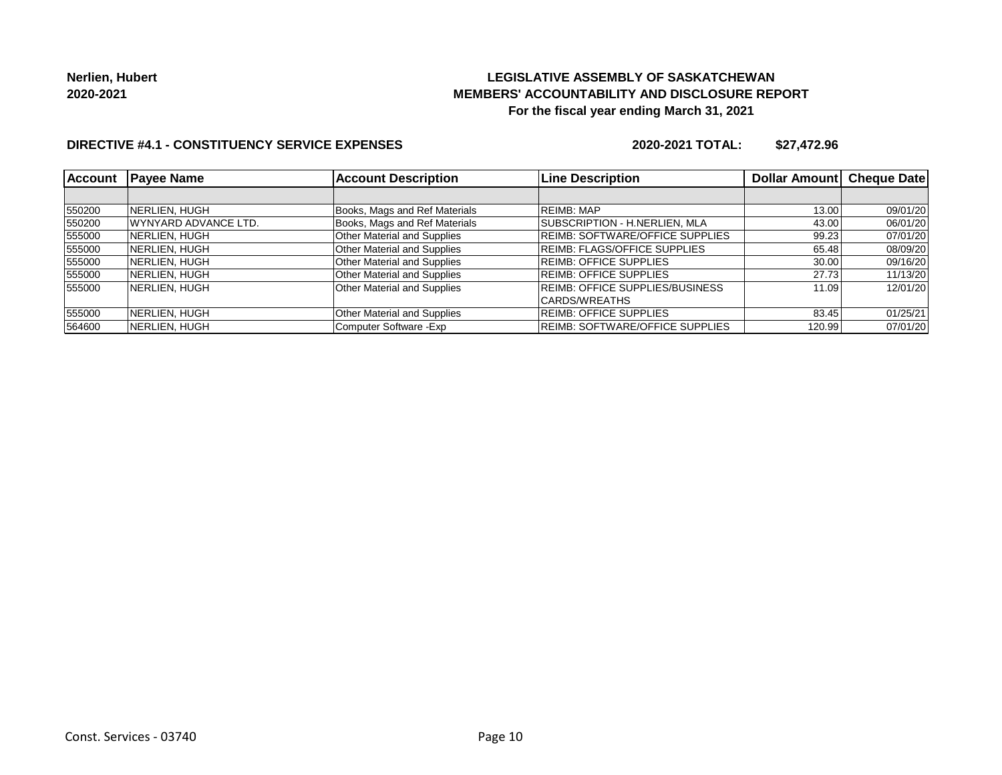## **LEGISLATIVE ASSEMBLY OF SASKATCHEWAN MEMBERS' ACCOUNTABILITY AND DISCLOSURE REPORT For the fiscal year ending March 31, 2021**

### **DIRECTIVE #4.1 - CONSTITUENCY SERVICE EXPENSES**

| <b>Account</b> | <b>Payee Name</b>     | <b>Account Description</b>         | <b>Line Description</b>                | Dollar Amount | <b>Cheque Date</b> |
|----------------|-----------------------|------------------------------------|----------------------------------------|---------------|--------------------|
|                |                       |                                    |                                        |               |                    |
| 550200         | NERLIEN, HUGH         | Books, Mags and Ref Materials      | <b>REIMB: MAP</b>                      | 13.00         | 09/01/20           |
| 550200         | WYNYARD ADVANCE LTD.  | Books, Mags and Ref Materials      | <b>SUBSCRIPTION - H.NERLIEN, MLA</b>   | 43.00         | 06/01/20           |
| 555000         | NERLIEN, HUGH         | Other Material and Supplies        | <b>REIMB: SOFTWARE/OFFICE SUPPLIES</b> | 99.23         | 07/01/20           |
| 555000         | <b>INERLIEN, HUGH</b> | <b>Other Material and Supplies</b> | <b>REIMB: FLAGS/OFFICE SUPPLIES</b>    | 65.48         | 08/09/20           |
| 555000         | NERLIEN, HUGH         | <b>Other Material and Supplies</b> | <b>REIMB: OFFICE SUPPLIES</b>          | 30.00         | 09/16/20           |
| 555000         | <b>NERLIEN, HUGH</b>  | Other Material and Supplies        | REIMB: OFFICE SUPPLIES                 | 27.73         | 11/13/20           |
| 555000         | NERLIEN, HUGH         | <b>Other Material and Supplies</b> | <b>REIMB: OFFICE SUPPLIES/BUSINESS</b> | 11.09         | 12/01/20           |
|                |                       |                                    | CARDS/WREATHS                          |               |                    |
| 555000         | INERLIEN. HUGH        | <b>Other Material and Supplies</b> | <b>REIMB: OFFICE SUPPLIES</b>          | 83.45         | 01/25/21           |
| 564600         | INERLIEN. HUGH        | Computer Software - Exp            | <b>REIMB: SOFTWARE/OFFICE SUPPLIES</b> | 120.99        | 07/01/20           |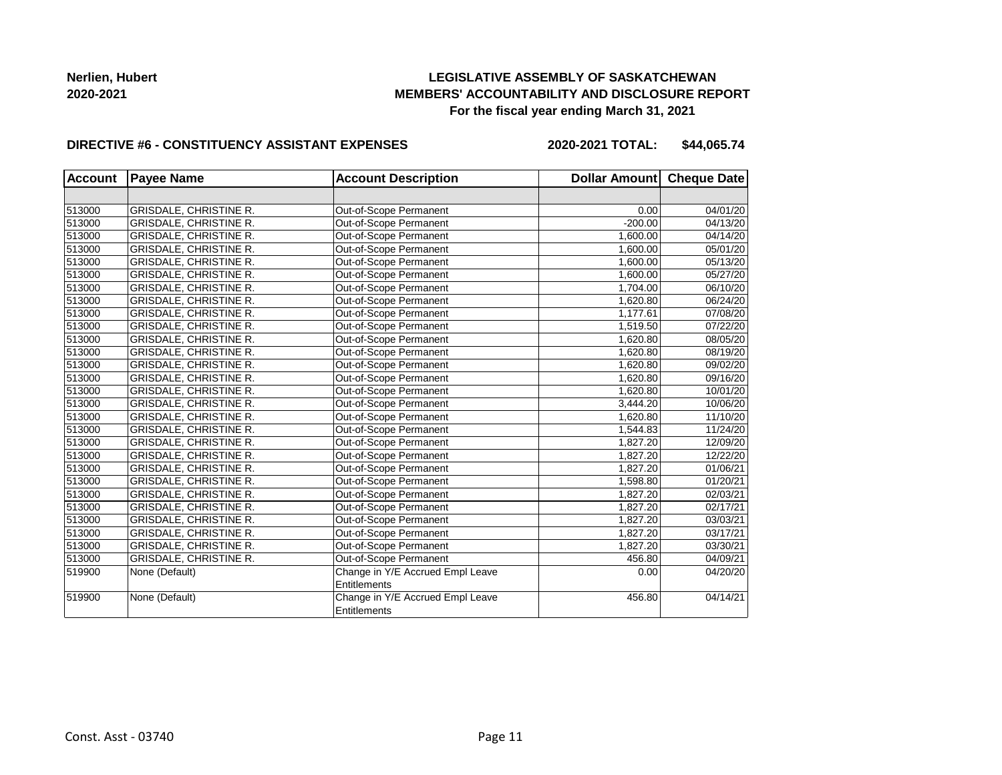## **LEGISLATIVE ASSEMBLY OF SASKATCHEWAN MEMBERS' ACCOUNTABILITY AND DISCLOSURE REPORT For the fiscal year ending March 31, 2021**

#### **DIRECTIVE #6 - CONSTITUENCY ASSISTANT EXPENSES**

**2020-2021 TOTAL: \$44,065.74**

| <b>Account</b> | <b>Payee Name</b>             | <b>Account Description</b>       | Dollar Amount Cheque Date |          |
|----------------|-------------------------------|----------------------------------|---------------------------|----------|
|                |                               |                                  |                           |          |
| 513000         | <b>GRISDALE, CHRISTINE R.</b> | Out-of-Scope Permanent           | 0.00                      | 04/01/20 |
| 513000         | <b>GRISDALE, CHRISTINE R.</b> | Out-of-Scope Permanent           | $-200.00$                 | 04/13/20 |
| 513000         | <b>GRISDALE, CHRISTINE R.</b> | Out-of-Scope Permanent           | 1,600.00                  | 04/14/20 |
| 513000         | <b>GRISDALE, CHRISTINE R.</b> | Out-of-Scope Permanent           | 1,600.00                  | 05/01/20 |
| 513000         | <b>GRISDALE, CHRISTINE R.</b> | Out-of-Scope Permanent           | 1,600.00                  | 05/13/20 |
| 513000         | <b>GRISDALE, CHRISTINE R.</b> | Out-of-Scope Permanent           | 1,600.00                  | 05/27/20 |
| 513000         | <b>GRISDALE, CHRISTINE R.</b> | Out-of-Scope Permanent           | 1,704.00                  | 06/10/20 |
| 513000         | <b>GRISDALE, CHRISTINE R.</b> | Out-of-Scope Permanent           | 1,620.80                  | 06/24/20 |
| 513000         | GRISDALE, CHRISTINE R.        | Out-of-Scope Permanent           | 1,177.61                  | 07/08/20 |
| 513000         | GRISDALE, CHRISTINE R.        | Out-of-Scope Permanent           | 1,519.50                  | 07/22/20 |
| 513000         | <b>GRISDALE, CHRISTINE R.</b> | Out-of-Scope Permanent           | 1,620.80                  | 08/05/20 |
| 513000         | <b>GRISDALE, CHRISTINE R.</b> | Out-of-Scope Permanent           | 1,620.80                  | 08/19/20 |
| 513000         | GRISDALE, CHRISTINE R.        | Out-of-Scope Permanent           | 1,620.80                  | 09/02/20 |
| 513000         | <b>GRISDALE, CHRISTINE R.</b> | Out-of-Scope Permanent           | 1,620.80                  | 09/16/20 |
| 513000         | <b>GRISDALE, CHRISTINE R.</b> | Out-of-Scope Permanent           | 1,620.80                  | 10/01/20 |
| 513000         | <b>GRISDALE, CHRISTINE R.</b> | Out-of-Scope Permanent           | 3,444.20                  | 10/06/20 |
| 513000         | <b>GRISDALE, CHRISTINE R.</b> | Out-of-Scope Permanent           | 1.620.80                  | 11/10/20 |
| 513000         | <b>GRISDALE, CHRISTINE R.</b> | Out-of-Scope Permanent           | 1,544.83                  | 11/24/20 |
| 513000         | <b>GRISDALE, CHRISTINE R.</b> | Out-of-Scope Permanent           | 1,827.20                  | 12/09/20 |
| 513000         | GRISDALE, CHRISTINE R.        | Out-of-Scope Permanent           | 1,827.20                  | 12/22/20 |
| 513000         | <b>GRISDALE, CHRISTINE R.</b> | Out-of-Scope Permanent           | 1,827.20                  | 01/06/21 |
| 513000         | <b>GRISDALE, CHRISTINE R.</b> | Out-of-Scope Permanent           | 1,598.80                  | 01/20/21 |
| 513000         | GRISDALE, CHRISTINE R.        | Out-of-Scope Permanent           | 1,827.20                  | 02/03/21 |
| 513000         | GRISDALE, CHRISTINE R.        | Out-of-Scope Permanent           | 1,827.20                  | 02/17/21 |
| 513000         | <b>GRISDALE, CHRISTINE R.</b> | Out-of-Scope Permanent           | 1,827.20                  | 03/03/21 |
| 513000         | <b>GRISDALE, CHRISTINE R.</b> | Out-of-Scope Permanent           | 1,827.20                  | 03/17/21 |
| 513000         | GRISDALE, CHRISTINE R.        | Out-of-Scope Permanent           | 1,827.20                  | 03/30/21 |
| 513000         | <b>GRISDALE, CHRISTINE R.</b> | Out-of-Scope Permanent           | 456.80                    | 04/09/21 |
| 519900         | None (Default)                | Change in Y/E Accrued Empl Leave | 0.00                      | 04/20/20 |
|                |                               | Entitlements                     |                           |          |
| 519900         | None (Default)                | Change in Y/E Accrued Empl Leave | 456.80                    | 04/14/21 |
|                |                               | Entitlements                     |                           |          |